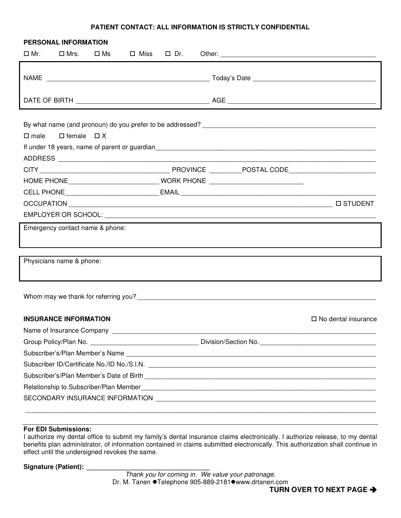## **PATIENT CONTACT: ALL INFORMATION IS STRICTLY CONFIDENTIAL**

| PERSONAL INFORMATION                                                             |                              |                            |
|----------------------------------------------------------------------------------|------------------------------|----------------------------|
| $\square$ Mr.<br>$\square$ Mrs.<br>□ Ms                                          | $\square$ Miss $\square$ Dr. |                            |
|                                                                                  |                              |                            |
|                                                                                  |                              |                            |
| $\square$ female $\square$ X<br>$\square$ male                                   |                              |                            |
|                                                                                  |                              |                            |
|                                                                                  |                              |                            |
| HOME PHONE _________________________________ WORK PHONE ________________________ |                              |                            |
|                                                                                  |                              |                            |
|                                                                                  |                              |                            |
|                                                                                  |                              |                            |
| Emergency contact name & phone:                                                  |                              |                            |
|                                                                                  |                              |                            |
| Physicians name & phone:                                                         |                              |                            |
|                                                                                  |                              |                            |
| <b>INSURANCE INFORMATION</b>                                                     |                              | $\Box$ No dental insurance |
| Name of Insurance Company ______                                                 |                              |                            |
|                                                                                  |                              |                            |
|                                                                                  |                              |                            |
|                                                                                  |                              |                            |
|                                                                                  |                              |                            |
|                                                                                  |                              |                            |
|                                                                                  |                              |                            |
|                                                                                  |                              |                            |

## **For EDI Submissions:**

I authorize my dental office to submit my family's dental insurance claims electronically. I authorize release, to my dental benefits plan administrator, of information contained in claims submitted electronically. This authorization shall continue in effect until the undersigned revokes the same.

Signature (Patient): \_\_\_\_\_